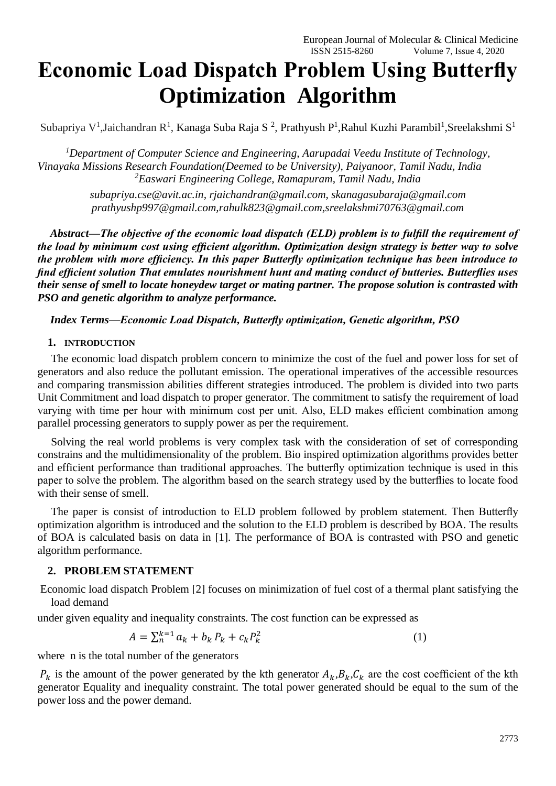# **Economic Load Dispatch Problem Using Butterfly Optimization Algorithm**

Subapriya V<sup>1</sup>,Jaichandran R<sup>1</sup>, Kanaga Suba Raja S<sup>2</sup>, Prathyush P<sup>1</sup>,Rahul Kuzhi Parambil<sup>1</sup>,Sreelakshmi S<sup>1</sup>

*<sup>1</sup>Department of Computer Science and Engineering, Aarupadai Veedu Institute of Technology, Vinayaka Missions Research Foundation(Deemed to be University), Paiyanoor, Tamil Nadu, India <sup>2</sup>Easwari Engineering College, Ramapuram, Tamil Nadu, India*

> *subapriya.cse@avit.ac.in, rjaichandran@gmail.com, skanagasubaraja@gmail.com prathyushp997@gmail.com,rahulk823@gmail.com,sreelakshmi70763@gmail.com*

*Abstract—The objective of the economic load dispatch (ELD) problem is to fulfill the requirement of the load by minimum cost using efficient algorithm. Optimization design strategy is better way to solve the problem with more efficiency. In this paper Butterfly optimization technique has been introduce to find efficient solution That emulates nourishment hunt and mating conduct of butteries. Butterflies uses their sense of smell to locate honeydew target or mating partner. The propose solution is contrasted with PSO and genetic algorithm to analyze performance.*

# *Index Terms—Economic Load Dispatch, Butterfly optimization, Genetic algorithm, PSO*

#### **1. INTRODUCTION**

The economic load dispatch problem concern to minimize the cost of the fuel and power loss for set of generators and also reduce the pollutant emission. The operational imperatives of the accessible resources and comparing transmission abilities different strategies introduced. The problem is divided into two parts Unit Commitment and load dispatch to proper generator. The commitment to satisfy the requirement of load varying with time per hour with minimum cost per unit. Also, ELD makes efficient combination among parallel processing generators to supply power as per the requirement.

Solving the real world problems is very complex task with the consideration of set of corresponding constrains and the multidimensionality of the problem. Bio inspired optimization algorithms provides better and efficient performance than traditional approaches. The butterfly optimization technique is used in this paper to solve the problem. The algorithm based on the search strategy used by the butterflies to locate food with their sense of smell.

The paper is consist of introduction to ELD problem followed by problem statement. Then Butterfly optimization algorithm is introduced and the solution to the ELD problem is described by BOA. The results of BOA is calculated basis on data in [1]. The performance of BOA is contrasted with PSO and genetic algorithm performance.

#### **2. PROBLEM STATEMENT**

Economic load dispatch Problem [2] focuses on minimization of fuel cost of a thermal plant satisfying the load demand

under given equality and inequality constraints. The cost function can be expressed as

$$
A = \sum_{k=1}^{k=1} a_k + b_k P_k + c_k P_k^2
$$
 (1)

where n is the total number of the generators

 $P_k$  is the amount of the power generated by the kth generator  $A_k, B_k, C_k$  are the cost coefficient of the kth generator Equality and inequality constraint. The total power generated should be equal to the sum of the power loss and the power demand.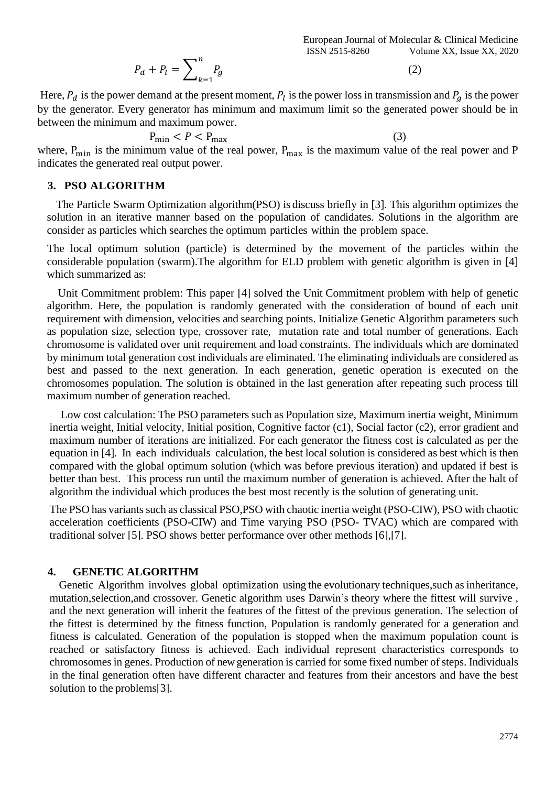$$
P_d + P_l = \sum_{k=1}^{n} P_g
$$

(2)

Here,  $P_d$  is the power demand at the present moment,  $P_l$  is the power loss in transmission and  $P_g$  is the power by the generator. Every generator has minimum and maximum limit so the generated power should be in between the minimum and maximum power.

$$
P_{\min} < P < P_{\max} \tag{3}
$$

where,  $P_{\text{min}}$  is the minimum value of the real power,  $P_{\text{max}}$  is the maximum value of the real power and P indicates the generated real output power.

# **3. PSO ALGORITHM**

The Particle Swarm Optimization algorithm(PSO) is discuss briefly in [3]. This algorithm optimizes the solution in an iterative manner based on the population of candidates. Solutions in the algorithm are consider as particles which searches the optimum particles within the problem space.

The local optimum solution (particle) is determined by the movement of the particles within the considerable population (swarm).The algorithm for ELD problem with genetic algorithm is given in [4] which summarized as:

 Unit Commitment problem: This paper [4] solved the Unit Commitment problem with help of genetic algorithm. Here, the population is randomly generated with the consideration of bound of each unit requirement with dimension, velocities and searching points. Initialize Genetic Algorithm parameters such as population size, selection type, crossover rate, mutation rate and total number of generations. Each chromosome is validated over unit requirement and load constraints. The individuals which are dominated by minimum total generation cost individuals are eliminated. The eliminating individuals are considered as best and passed to the next generation. In each generation, genetic operation is executed on the chromosomes population. The solution is obtained in the last generation after repeating such process till maximum number of generation reached.

 Low cost calculation: The PSO parameters such as Population size, Maximum inertia weight, Minimum inertia weight, Initial velocity, Initial position, Cognitive factor (c1), Social factor (c2), error gradient and maximum number of iterations are initialized. For each generator the fitness cost is calculated as per the equation in [4]. In each individuals calculation, the best local solution is considered as best which is then compared with the global optimum solution (which was before previous iteration) and updated if best is better than best. This process run until the maximum number of generation is achieved. After the halt of algorithm the individual which produces the best most recently is the solution of generating unit.

The PSO has variants such as classical PSO,PSO with chaotic inertia weight (PSO-CIW), PSO with chaotic acceleration coefficients (PSO-CIW) and Time varying PSO (PSO- TVAC) which are compared with traditional solver [5]. PSO shows better performance over other methods [6],[7].

# **4. GENETIC ALGORITHM**

Genetic Algorithm involves global optimization using the evolutionary techniques,such as inheritance, mutation,selection,and crossover. Genetic algorithm uses Darwin's theory where the fittest will survive , and the next generation will inherit the features of the fittest of the previous generation. The selection of the fittest is determined by the fitness function, Population is randomly generated for a generation and fitness is calculated. Generation of the population is stopped when the maximum population count is reached or satisfactory fitness is achieved. Each individual represent characteristics corresponds to chromosomes in genes. Production of new generation is carried for some fixed number of steps. Individuals in the final generation often have different character and features from their ancestors and have the best solution to the problems[3].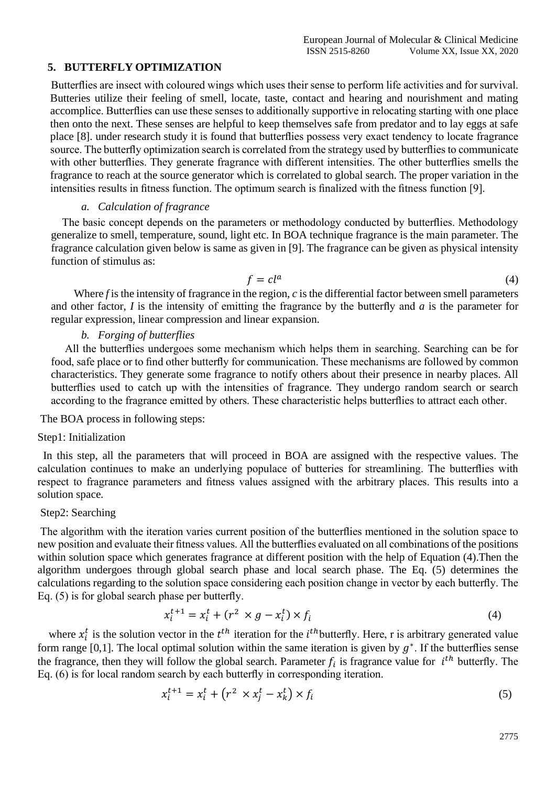# **5. BUTTERFLY OPTIMIZATION**

Butterflies are insect with coloured wings which uses their sense to perform life activities and for survival. Butteries utilize their feeling of smell, locate, taste, contact and hearing and nourishment and mating accomplice. Butterflies can use these senses to additionally supportive in relocating starting with one place then onto the next. These senses are helpful to keep themselves safe from predator and to lay eggs at safe place [8]. under research study it is found that butterflies possess very exact tendency to locate fragrance source. The butterfly optimization search is correlated from the strategy used by butterflies to communicate with other butterflies. They generate fragrance with different intensities. The other butterflies smells the fragrance to reach at the source generator which is correlated to global search. The proper variation in the intensities results in fitness function. The optimum search is finalized with the fitness function [9].

#### *a. Calculation of fragrance*

 The basic concept depends on the parameters or methodology conducted by butterflies. Methodology generalize to smell, temperature, sound, light etc. In BOA technique fragrance is the main parameter. The fragrance calculation given below is same as given in [9]. The fragrance can be given as physical intensity function of stimulus as:

$$
f = cl^a \tag{4}
$$

Where *f* is the intensity of fragrance in the region, *c* is the differential factor between smell parameters and other factor, *I* is the intensity of emitting the fragrance by the butterfly and *a* is the parameter for regular expression, linear compression and linear expansion.

# *b. Forging of butterflies*

 All the butterflies undergoes some mechanism which helps them in searching. Searching can be for food, safe place or to find other butterfly for communication. These mechanisms are followed by common characteristics. They generate some fragrance to notify others about their presence in nearby places. All butterflies used to catch up with the intensities of fragrance. They undergo random search or search according to the fragrance emitted by others. These characteristic helps butterflies to attract each other.

The BOA process in following steps:

#### Step1: Initialization

 In this step, all the parameters that will proceed in BOA are assigned with the respective values. The calculation continues to make an underlying populace of butteries for streamlining. The butterflies with respect to fragrance parameters and fitness values assigned with the arbitrary places. This results into a solution space.

# Step2: Searching

The algorithm with the iteration varies current position of the butterflies mentioned in the solution space to new position and evaluate their fitness values. All the butterflies evaluated on all combinations of the positions within solution space which generates fragrance at different position with the help of Equation (4).Then the algorithm undergoes through global search phase and local search phase. The Eq. (5) determines the calculations regarding to the solution space considering each position change in vector by each butterfly. The Eq. (5) is for global search phase per butterfly.

$$
x_i^{t+1} = x_i^t + (r^2 \times g - x_i^t) \times f_i \tag{4}
$$

where  $x_i^t$  is the solution vector in the  $t^{th}$  iteration for the  $i^{th}$ butterfly. Here, r is arbitrary generated value form range [0,1]. The local optimal solution within the same iteration is given by  $g^*$ . If the butterflies sense the fragrance, then they will follow the global search. Parameter  $f_i$  is fragrance value for  $i<sup>th</sup>$  butterfly. The Eq. (6) is for local random search by each butterfly in corresponding iteration.

$$
x_i^{t+1} = x_i^t + \left(r^2 \times x_j^t - x_k^t\right) \times f_i \tag{5}
$$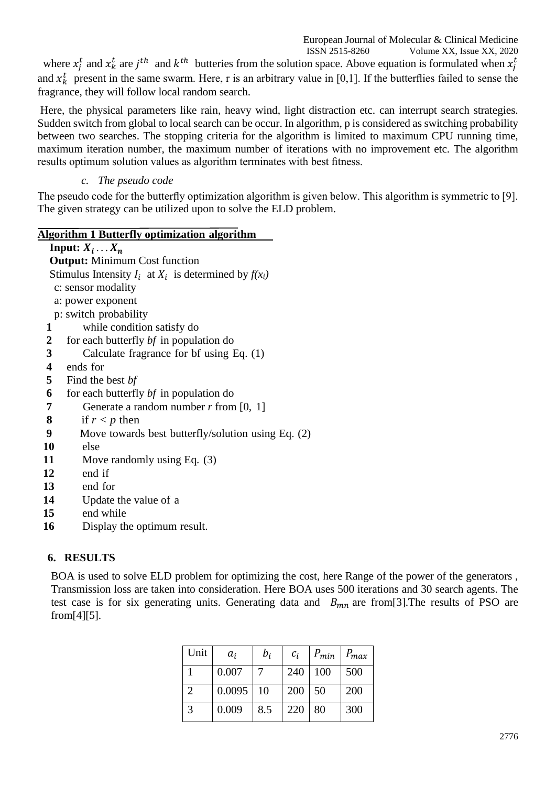European Journal of Molecular & Clinical Medicine

 ISSN 2515-8260 Volume XX, Issue XX, 2020 where  $x_j^t$  and  $x_k^t$  are  $j^{th}$  and  $k^{th}$  butteries from the solution space. Above equation is formulated when  $x_j^t$ and  $x_k^t$  present in the same swarm. Here, r is an arbitrary value in [0,1]. If the butterflies failed to sense the fragrance, they will follow local random search.

Here, the physical parameters like rain, heavy wind, light distraction etc. can interrupt search strategies. Sudden switch from global to local search can be occur. In algorithm, p is considered as switching probability between two searches. The stopping criteria for the algorithm is limited to maximum CPU running time, maximum iteration number, the maximum number of iterations with no improvement etc. The algorithm results optimum solution values as algorithm terminates with best fitness.

# *c. The pseudo code*

The pseudo code for the butterfly optimization algorithm is given below. This algorithm is symmetric to [9]. The given strategy can be utilized upon to solve the ELD problem.

# **Algorithm 1 Butterfly optimization algorithm**

|                | Input: $X_i \ldots X_n$                                     |
|----------------|-------------------------------------------------------------|
|                | <b>Output:</b> Minimum Cost function                        |
|                | Stimulus Intensity $I_i$ at $X_i$ is determined by $f(x_i)$ |
|                | c: sensor modality                                          |
|                | a: power exponent                                           |
|                | p: switch probability                                       |
| 1              | while condition satisfy do                                  |
| $\overline{2}$ | for each butterfly bf in population do                      |
| 3              | Calculate fragrance for bf using Eq. (1)                    |
| 4              | ends for                                                    |
| 5              | Find the best <i>bf</i>                                     |
| 6              | for each butterfly bf in population do                      |
| 7              | Generate a random number $r$ from [0, 1]                    |
| 8              | if $r < p$ then                                             |
| 9              | Move towards best butterfly/solution using Eq. (2)          |
| 10             | else                                                        |
| 11             | Move randomly using Eq. $(3)$                               |
| 12             | end if                                                      |
| 13             | end for                                                     |
| 14             | Update the value of a                                       |
| 15             | end while                                                   |
| 16             | Display the optimum result.                                 |

# **6. RESULTS**

BOA is used to solve ELD problem for optimizing the cost, here Range of the power of the generators , Transmission loss are taken into consideration. Here BOA uses 500 iterations and 30 search agents. The test case is for six generating units. Generating data and  $B_{mn}$  are from [3]. The results of PSO are from[4][5].

| Unit                  | $a_i$  | $b_i$ | $c_i$ | $P_{min}$ | $P_{max}$ |
|-----------------------|--------|-------|-------|-----------|-----------|
|                       | 0.007  |       | 240   | 100       | 500       |
| $\mathcal{D}_{\cdot}$ | 0.0095 | 10    | 200   | 50        | 200       |
|                       | 0.009  | 8.5   | 220   | 80        | 300       |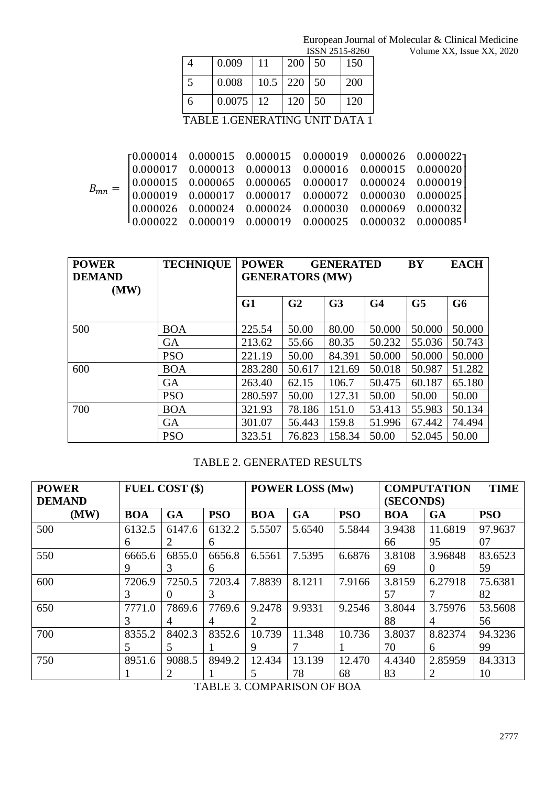|  |                                                                                                                                      |    |     | ISSN 2515-8260 |            | Volume XX, Issue XX, 2020 |
|--|--------------------------------------------------------------------------------------------------------------------------------------|----|-----|----------------|------------|---------------------------|
|  | 0.009                                                                                                                                |    | 200 | 50             | 150        |                           |
|  | 0.008                                                                                                                                |    | 220 | 50             | <b>200</b> |                           |
|  | 0.0075                                                                                                                               | 12 | 120 | 50             | 120        |                           |
|  | $\mathbf{m}$ , $\mathbf{n}$ , $\mathbf{m}$ , $\mathbf{m}$ , $\mathbf{m}$ , $\mathbf{m}$ , $\mathbf{m}$ , $\mathbf{m}$ , $\mathbf{m}$ |    |     |                |            |                           |

TABLE 1.GENERATING UNIT DATA 1

| $B_{mn}$ |                                                                                                                                                                                                                                                                    |  |  |  |
|----------|--------------------------------------------------------------------------------------------------------------------------------------------------------------------------------------------------------------------------------------------------------------------|--|--|--|
|          |                                                                                                                                                                                                                                                                    |  |  |  |
|          | $\alpha = \begin{bmatrix} 0.000014 & 0.000015 & 0.000015 & 0.000019 & 0.000026 & 0.000022 \ 0.000017 & 0.000013 & 0.000013 & 0.000016 & 0.000015 & 0.000020 \ 0.000015 & 0.000065 & 0.000065 & 0.000017 & 0.000024 & 0.000019 \ 0.000019 & 0.000017 & 0.000017 & $ |  |  |  |

| <b>POWER</b><br><b>DEMAND</b><br>(MW) | <b>TECHNIQUE</b> | <b>POWER</b><br><b>GENERATORS (MW)</b> |                | <b>GENERATED</b> | <b>BY</b>      | <b>EACH</b>    |                |
|---------------------------------------|------------------|----------------------------------------|----------------|------------------|----------------|----------------|----------------|
|                                       |                  | G1                                     | G <sub>2</sub> | G <sub>3</sub>   | G <sub>4</sub> | G <sub>5</sub> | G <sub>6</sub> |
| 500                                   | <b>BOA</b>       | 225.54                                 | 50.00          | 80.00            | 50.000         | 50.000         | 50.000         |
|                                       | <b>GA</b>        | 213.62                                 | 55.66          | 80.35            | 50.232         | 55.036         | 50.743         |
|                                       | <b>PSO</b>       | 221.19                                 | 50.00          | 84.391           | 50.000         | 50.000         | 50.000         |
| 600                                   | <b>BOA</b>       | 283.280                                | 50.617         | 121.69           | 50.018         | 50.987         | 51.282         |
|                                       | <b>GA</b>        | 263.40                                 | 62.15          | 106.7            | 50.475         | 60.187         | 65.180         |
|                                       | <b>PSO</b>       | 280.597                                | 50.00          | 127.31           | 50.00          | 50.00          | 50.00          |
| 700                                   | <b>BOA</b>       | 321.93                                 | 78.186         | 151.0            | 53.413         | 55.983         | 50.134         |
|                                       | <b>GA</b>        | 301.07                                 | 56.443         | 159.8            | 51.996         | 67.442         | 74.494         |
|                                       | <b>PSO</b>       | 323.51                                 | 76.823         | 158.34           | 50.00          | 52.045         | 50.00          |

# TABLE 2. GENERATED RESULTS

| <b>POWER</b><br><b>DEMAND</b> | <b>FUEL COST (\$)</b> |           |            | <b>POWER LOSS (Mw)</b> |           |            | <b>TIME</b><br><b>COMPUTATION</b><br>(SECONDS) |           |            |
|-------------------------------|-----------------------|-----------|------------|------------------------|-----------|------------|------------------------------------------------|-----------|------------|
| (MW)                          | <b>BOA</b>            | <b>GA</b> | <b>PSO</b> | <b>BOA</b>             | <b>GA</b> | <b>PSO</b> | <b>BOA</b>                                     | <b>GA</b> | <b>PSO</b> |
| 500                           | 6132.5                | 6147.6    | 6132.2     | 5.5507                 | 5.6540    | 5.5844     | 3.9438                                         | 11.6819   | 97.9637    |
|                               | 6                     | 2         | 6          |                        |           |            | 66                                             | 95        | 07         |
| 550                           | 6665.6                | 6855.0    | 6656.8     | 6.5561                 | 7.5395    | 6.6876     | 3.8108                                         | 3.96848   | 83.6523    |
|                               | 9                     | 3         | 6          |                        |           |            | 69                                             | $\Omega$  | 59         |
| 600                           | 7206.9                | 7250.5    | 7203.4     | 7.8839                 | 8.1211    | 7.9166     | 3.8159                                         | 6.27918   | 75.6381    |
|                               |                       |           | 3          |                        |           |            | 57                                             |           | 82         |
| 650                           | 7771.0                | 7869.6    | 7769.6     | 9.2478                 | 9.9331    | 9.2546     | 3.8044                                         | 3.75976   | 53.5608    |
|                               | 3                     | 4         | 4          | 2                      |           |            | 88                                             | 4         | 56         |
| 700                           | 8355.2                | 8402.3    | 8352.6     | 10.739                 | 11.348    | 10.736     | 3.8037                                         | 8.82374   | 94.3236    |
|                               | 5                     | 5         |            | 9                      |           |            | 70                                             | 6         | 99         |
| 750                           | 8951.6                | 9088.5    | 8949.2     | 12.434                 | 13.139    | 12.470     | 4.4340                                         | 2.85959   | 84.3313    |
|                               |                       |           |            | 5                      | 78        | 68         | 83                                             | 2         | 10         |

TABLE 3. COMPARISON OF BOA